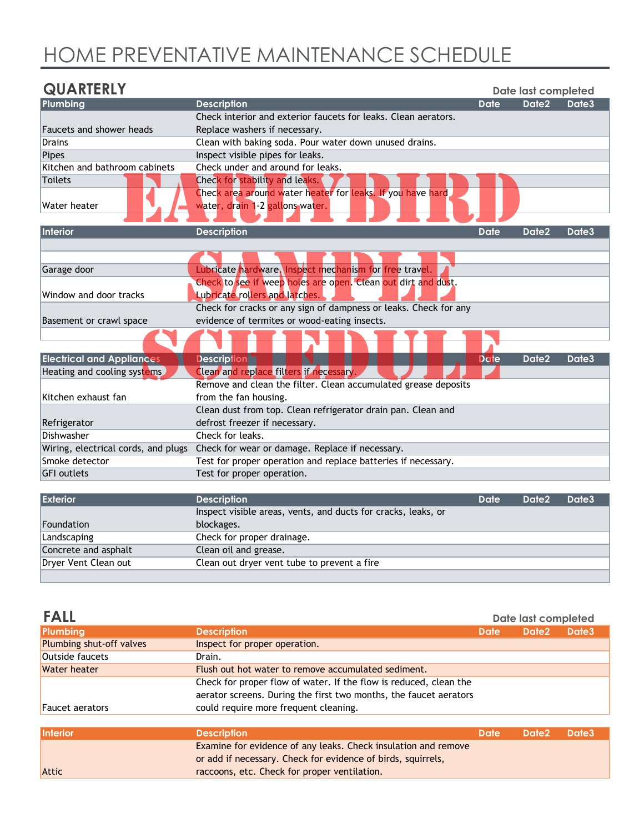## HOME PREVENTATIVE MAINTENANCE SCHEDULE

| <b>QUARTERLY</b>                    |                                                                                               |             | Date last completed |       |
|-------------------------------------|-----------------------------------------------------------------------------------------------|-------------|---------------------|-------|
| Plumbing                            | <b>Description</b>                                                                            | <b>Date</b> | <b>Date2</b>        | Date3 |
|                                     | Check interior and exterior faucets for leaks. Clean aerators.                                |             |                     |       |
| <b>Faucets and shower heads</b>     | Replace washers if necessary.                                                                 |             |                     |       |
| <b>Drains</b>                       | Clean with baking soda. Pour water down unused drains.                                        |             |                     |       |
| <b>Pipes</b>                        | Inspect visible pipes for leaks.                                                              |             |                     |       |
| Kitchen and bathroom cabinets       | Check under and around for leaks.                                                             |             |                     |       |
| <b>Toilets</b>                      | Check for stability and leaks.                                                                |             |                     |       |
| Water heater                        | Check area around water heater for leaks. If you have hard<br>water, drain 1-2 gallons water. |             |                     |       |
|                                     |                                                                                               |             |                     |       |
| Interior                            | <b>Description</b>                                                                            | <b>Date</b> | Date2               | Date3 |
|                                     |                                                                                               |             |                     |       |
| Garage door                         | Lubricate hardware. Inspect mechanism for free travel.                                        |             |                     |       |
|                                     | Check to see if weep holes are open. Clean out dirt and dust.                                 |             |                     |       |
| Window and door tracks              | <b>Lubricate rollers and latches.</b>                                                         |             |                     |       |
|                                     | Check for cracks or any sign of dampness or leaks. Check for any                              |             |                     |       |
| Basement or crawl space             | evidence of termites or wood-eating insects.                                                  |             |                     |       |
|                                     |                                                                                               |             |                     |       |
|                                     |                                                                                               |             |                     |       |
| <b>Electrical and Appliances</b>    | <b>Description</b>                                                                            | <b>Date</b> | Date2               | Date3 |
| Heating and cooling systems         | Clean and replace filters if necessary.                                                       |             |                     |       |
|                                     | Remove and clean the filter. Clean accumulated grease deposits                                |             |                     |       |
| Kitchen exhaust fan                 | from the fan housing.                                                                         |             |                     |       |
|                                     | Clean dust from top. Clean refrigerator drain pan. Clean and                                  |             |                     |       |
| Refrigerator                        | defrost freezer if necessary.                                                                 |             |                     |       |
| Dishwasher                          | Check for leaks.                                                                              |             |                     |       |
| Wiring, electrical cords, and plugs | Check for wear or damage. Replace if necessary.                                               |             |                     |       |
| Smoke detector                      | Test for proper operation and replace batteries if necessary                                  |             |                     |       |
| <b>GFI</b> outlets                  | Test for proper operation.                                                                    |             |                     |       |
|                                     |                                                                                               |             |                     |       |
| <b>Exterior</b>                     | <b>Description</b>                                                                            | <b>Date</b> | Date <sub>2</sub>   | Date3 |
|                                     | Inspect visible areas, vents, and ducts for cracks, leaks, or                                 |             |                     |       |
| Foundation                          | blockages.                                                                                    |             |                     |       |
| Landscaping                         | Check for proper drainage.                                                                    |             |                     |       |
| Concrete and asphalt                | Clean oil and grease.                                                                         |             |                     |       |
| Dryer Vent Clean out                | Clean out dryer vent tube to prevent a fire                                                   |             |                     |       |

| <b>FALL</b>              |                                                                   |             | Date last completed |                   |
|--------------------------|-------------------------------------------------------------------|-------------|---------------------|-------------------|
| Plumbing                 | <b>Description</b>                                                | <b>Date</b> | Date <sub>2</sub>   | Date <sub>3</sub> |
| Plumbing shut-off valves | Inspect for proper operation.                                     |             |                     |                   |
| Outside faucets          | Drain.                                                            |             |                     |                   |
| Water heater             | Flush out hot water to remove accumulated sediment.               |             |                     |                   |
|                          | Check for proper flow of water. If the flow is reduced, clean the |             |                     |                   |
|                          | aerator screens. During the first two months, the faucet aerators |             |                     |                   |
| <b>Faucet aerators</b>   | could require more frequent cleaning.                             |             |                     |                   |
|                          |                                                                   |             |                     |                   |
| Interior                 | <b>Description</b>                                                | <b>Date</b> | Date <sub>2</sub>   | Date <sub>3</sub> |
|                          | Examine for evidence of any leaks. Check insulation and remove    |             |                     |                   |
|                          | or add if necessary. Check for evidence of birds, squirrels,      |             |                     |                   |
| <b>Attic</b>             | raccoons, etc. Check for proper ventilation.                      |             |                     |                   |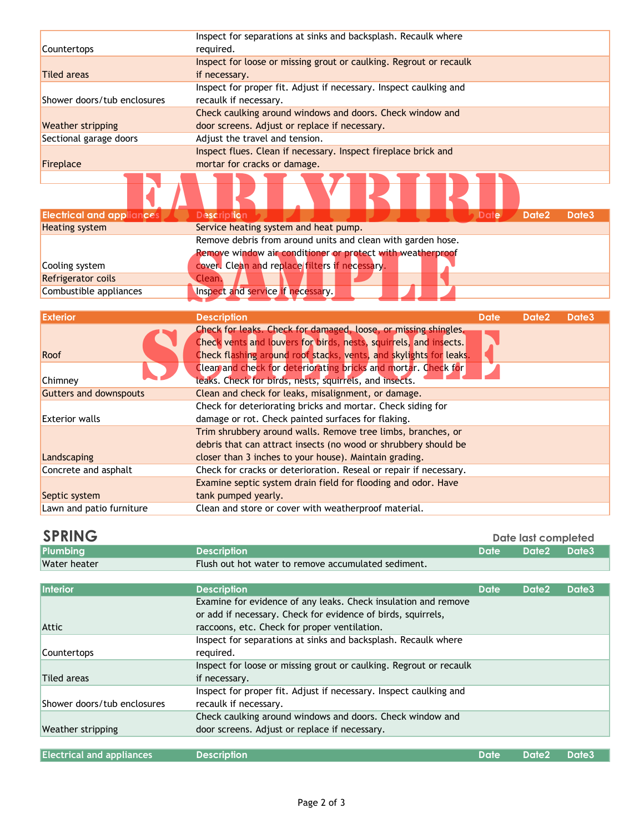|                             | Inspect for separations at sinks and backsplash. Recaulk where     |
|-----------------------------|--------------------------------------------------------------------|
| <b>Countertops</b>          | required.                                                          |
|                             | Inspect for loose or missing grout or caulking. Regrout or recaulk |
| <b>Tiled areas</b>          | if necessary.                                                      |
|                             | Inspect for proper fit. Adjust if necessary. Inspect caulking and  |
| Shower doors/tub enclosures | recaulk if necessary.                                              |
|                             | Check caulking around windows and doors. Check window and          |
| <b>Weather stripping</b>    | door screens. Adjust or replace if necessary.                      |
| Sectional garage doors      | Adjust the travel and tension.                                     |
|                             | Inspect flues. Clean if necessary. Inspect fireplace brick and     |
| Fireplace                   | mortar for cracks or damage.                                       |
|                             |                                                                    |
|                             |                                                                    |

| <b>Electrical and appliances</b> | Description                                                 | Date/          | Date <sub>2</sub>                  | Date3 |
|----------------------------------|-------------------------------------------------------------|----------------|------------------------------------|-------|
| Heating system                   | Service heating system and heat pump.                       |                |                                    |       |
|                                  | Remove debris from around units and clean with garden hose. |                |                                    |       |
|                                  | Remove window air conditioner or protect with weatherproof  |                |                                    |       |
| Cooling system                   | cover. Clean and replace filters if necessary.              |                |                                    |       |
| Refrigerator coils               | Clean.                                                      |                |                                    |       |
| Combustible appliances           | Inspect and service if necessary.                           |                |                                    |       |
|                                  |                                                             |                |                                    |       |
| l martin a contra a              | <b>INTERNATIONAL ARTISTS</b>                                | <b>Bandara</b> | $\sim$ $\sim$ $\sim$ $\sim$ $\sim$ |       |

| <b>Exterior</b>               | <b>Description</b>                                                                                                                                                                                         | <b>Date</b> | Date <sub>2</sub> | Date3 |
|-------------------------------|------------------------------------------------------------------------------------------------------------------------------------------------------------------------------------------------------------|-------------|-------------------|-------|
| Roof                          | Check for leaks. Check for damaged, loose, or missing shingles.<br>Check vents and louvers for birds, nests, squirrels, and insects.<br>Check flashing around roof stacks, vents, and skylights for leaks. |             |                   |       |
| Chimney                       | Clean and check for deteriorating bricks and mortar. Check for<br>leaks. Check for birds, nests, squirrels, and insects.                                                                                   |             |                   |       |
| <b>Gutters and downspouts</b> | Clean and check for leaks, misalignment, or damage.                                                                                                                                                        |             |                   |       |
|                               | Check for deteriorating bricks and mortar. Check siding for                                                                                                                                                |             |                   |       |
| <b>Exterior walls</b>         | damage or rot. Check painted surfaces for flaking.                                                                                                                                                         |             |                   |       |
|                               | Trim shrubbery around walls. Remove tree limbs, branches, or                                                                                                                                               |             |                   |       |
|                               | debris that can attract insects (no wood or shrubbery should be                                                                                                                                            |             |                   |       |
| Landscaping                   | closer than 3 inches to your house). Maintain grading.                                                                                                                                                     |             |                   |       |
| Concrete and asphalt          | Check for cracks or deterioration. Reseal or repair if necessary.                                                                                                                                          |             |                   |       |
|                               | Examine septic system drain field for flooding and odor. Have                                                                                                                                              |             |                   |       |
| Septic system                 | tank pumped yearly.                                                                                                                                                                                        |             |                   |       |
| Lawn and patio furniture      | Clean and store or cover with weatherproof material.                                                                                                                                                       |             |                   |       |

## **SPRING**

| <b>SPRING</b> |                                                     |             | Date last completed |  |
|---------------|-----------------------------------------------------|-------------|---------------------|--|
| Plumbing      | l Description i                                     | <b>Date</b> | Date2 Date3         |  |
| Water heater  | Flush out hot water to remove accumulated sediment. |             |                     |  |
|               |                                                     |             |                     |  |

| <b>Interior</b>                  | <b>Description</b>                                                 | <b>Date</b> | Date <sub>2</sub> | Date3        |
|----------------------------------|--------------------------------------------------------------------|-------------|-------------------|--------------|
|                                  | Examine for evidence of any leaks. Check insulation and remove     |             |                   |              |
|                                  | or add if necessary. Check for evidence of birds, squirrels,       |             |                   |              |
| <b>Attic</b>                     | raccoons, etc. Check for proper ventilation.                       |             |                   |              |
|                                  | Inspect for separations at sinks and backsplash. Recaulk where     |             |                   |              |
| Countertops                      | required.                                                          |             |                   |              |
|                                  | Inspect for loose or missing grout or caulking. Regrout or recaulk |             |                   |              |
| <b>Tiled areas</b>               | if necessary.                                                      |             |                   |              |
|                                  | Inspect for proper fit. Adjust if necessary. Inspect caulking and  |             |                   |              |
| Shower doors/tub enclosures      | recaulk if necessary.                                              |             |                   |              |
|                                  | Check caulking around windows and doors. Check window and          |             |                   |              |
| Weather stripping                | door screens. Adjust or replace if necessary.                      |             |                   |              |
|                                  |                                                                    |             |                   |              |
| <b>Electrical and appliances</b> | <b>Description</b>                                                 | <b>Date</b> | Date <sub>2</sub> | <b>Date3</b> |